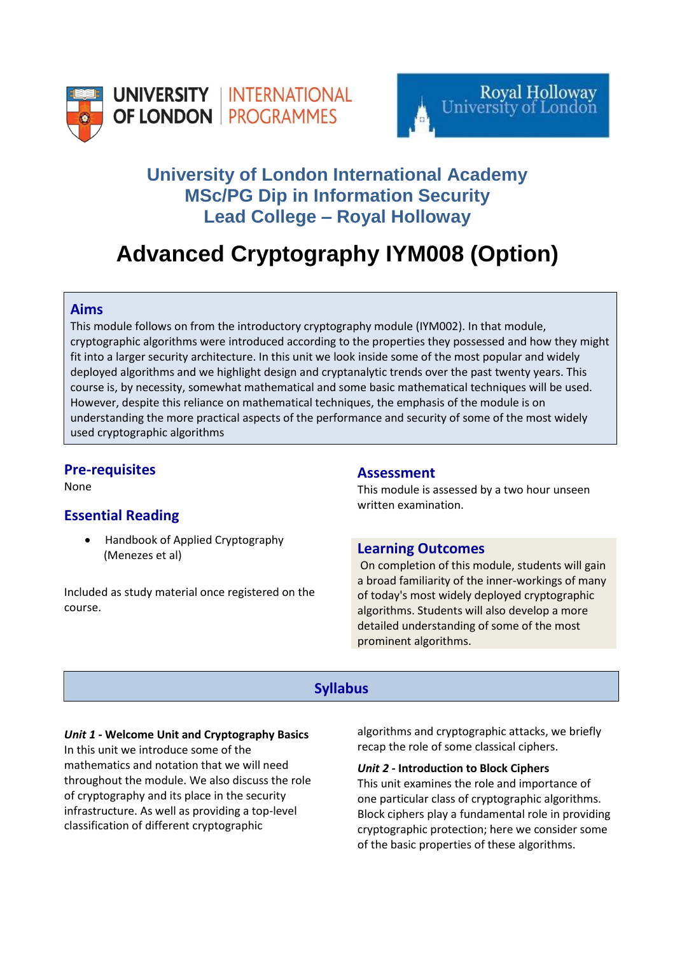



# **University of London International Academy MSc/PG Dip in Information Security Lead College – Royal Holloway**

# **Advanced Cryptography IYM008 (Option)**

### **Aims**

This module follows on from the introductory cryptography module (IYM002). In that module, cryptographic algorithms were introduced according to the properties they possessed and how they might fit into a larger security architecture. In this unit we look inside some of the most popular and widely deployed algorithms and we highlight design and cryptanalytic trends over the past twenty years. This course is, by necessity, somewhat mathematical and some basic mathematical techniques will be used. However, despite this reliance on mathematical techniques, the emphasis of the module is on understanding the more practical aspects of the performance and security of some of the most widely used cryptographic algorithms

## **Pre-requisites**

None

# **Essential Reading**

• Handbook of Applied Cryptography (Menezes et al)

Included as study material once registered on the course.

#### **Assessment**

This module is assessed by a two hour unseen written examination.

#### **Learning Outcomes**

On completion of this module, students will gain a broad familiarity of the inner-workings of many of today's most widely deployed cryptographic algorithms. Students will also develop a more detailed understanding of some of the most prominent algorithms.

# **Syllabus**

#### *Unit 1 -* **Welcome Unit and Cryptography Basics**

In this unit we introduce some of the mathematics and notation that we will need throughout the module. We also discuss the role of cryptography and its place in the security infrastructure. As well as providing a top-level classification of different cryptographic

algorithms and cryptographic attacks, we briefly recap the role of some classical ciphers.

#### *Unit 2 -* **Introduction to Block Ciphers**

This unit examines the role and importance of one particular class of cryptographic algorithms. Block ciphers play a fundamental role in providing cryptographic protection; here we consider some of the basic properties of these algorithms.